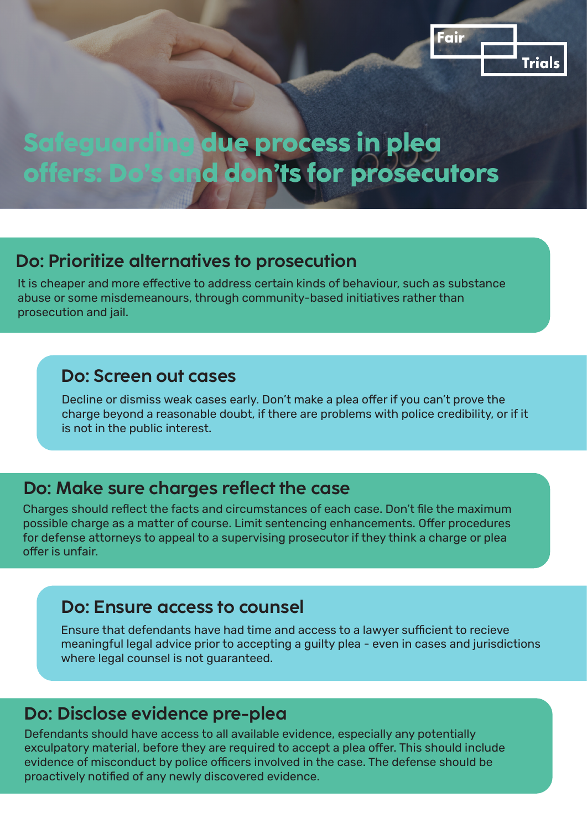

# **Safeguarding due process in plea offers: Do's and don'ts for prosecutors**

## **Do: Prioritize alternatives to prosecution**

It is cheaper and more effective to address certain kinds of behaviour, such as substance abuse or some misdemeanours, through community-based initiatives rather than prosecution and jail.

#### **Do: Screen out cases**

Decline or dismiss weak cases early. Don't make a plea offer if you can't prove the charge beyond a reasonable doubt, if there are problems with police credibility, or if it is not in the public interest.

### **Do: Make sure charges reflect the case**

Charges should reflect the facts and circumstances of each case. Don't file the maximum possible charge as a matter of course. Limit sentencing enhancements. Offer procedures for defense attorneys to appeal to a supervising prosecutor if they think a charge or plea offer is unfair.

### **Do: Ensure access to counsel**

Ensure that defendants have had time and access to a lawyer sufficient to recieve meaningful legal advice prior to accepting a guilty plea - even in cases and jurisdictions where legal counsel is not guaranteed.

# **Do: Disclose evidence pre-plea**

Defendants should have access to all available evidence, especially any potentially exculpatory material, before they are required to accept a plea offer. This should include evidence of misconduct by police officers involved in the case. The defense should be proactively notified of any newly discovered evidence.